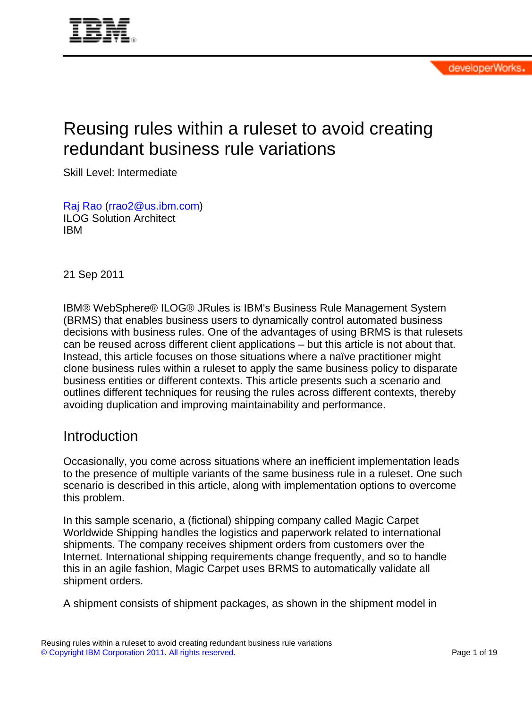

# Reusing rules within a ruleset to avoid creating redundant business rule variations

Skill Level: Intermediate

[Raj Rao](#page-18-0) ([rrao2@us.ibm.com](mailto:rrao2@us.ibm.com)) ILOG Solution Architect IBM

21 Sep 2011

IBM® WebSphere® ILOG® JRules is IBM's Business Rule Management System (BRMS) that enables business users to dynamically control automated business decisions with business rules. One of the advantages of using BRMS is that rulesets can be reused across different client applications – but this article is not about that. Instead, this article focuses on those situations where a naïve practitioner might clone business rules within a ruleset to apply the same business policy to disparate business entities or different contexts. This article presents such a scenario and outlines different techniques for reusing the rules across different contexts, thereby avoiding duplication and improving maintainability and performance.

#### **Introduction**

Occasionally, you come across situations where an inefficient implementation leads to the presence of multiple variants of the same business rule in a ruleset. One such scenario is described in this article, along with implementation options to overcome this problem.

In this sample scenario, a (fictional) shipping company called Magic Carpet Worldwide Shipping handles the logistics and paperwork related to international shipments. The company receives shipment orders from customers over the Internet. International shipping requirements change frequently, and so to handle this in an agile fashion, Magic Carpet uses BRMS to automatically validate all shipment orders.

A shipment consists of shipment packages, as shown in the shipment model in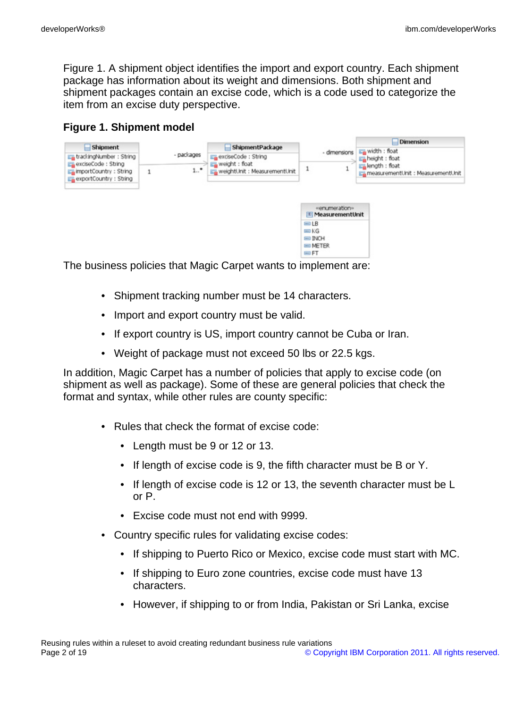Figure 1. A shipment object identifies the import and export country. Each shipment package has information about its weight and dimensions. Both shipment and shipment packages contain an excise code, which is a code used to categorize the item from an excise duty perspective.

#### **Figure 1. Shipment model**



The business policies that Magic Carpet wants to implement are:

- Shipment tracking number must be 14 characters.
- Import and export country must be valid.
- If export country is US, import country cannot be Cuba or Iran.
- Weight of package must not exceed 50 lbs or 22.5 kgs.

In addition, Magic Carpet has a number of policies that apply to excise code (on shipment as well as package). Some of these are general policies that check the format and syntax, while other rules are county specific:

- Rules that check the format of excise code:
	- Length must be 9 or 12 or 13.
	- If length of excise code is 9, the fifth character must be B or Y.
	- If length of excise code is 12 or 13, the seventh character must be L or P.
	- Excise code must not end with 9999.
- Country specific rules for validating excise codes:
	- If shipping to Puerto Rico or Mexico, excise code must start with MC.
	- If shipping to Euro zone countries, excise code must have 13 characters.
	- However, if shipping to or from India, Pakistan or Sri Lanka, excise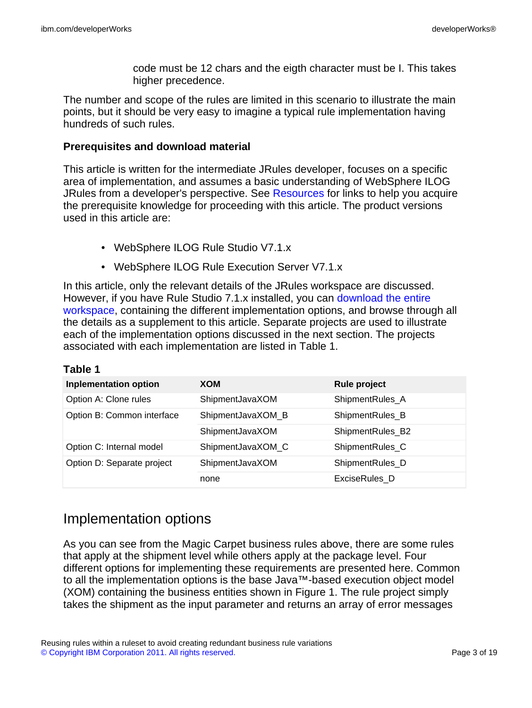code must be 12 chars and the eigth character must be I. This takes higher precedence.

The number and scope of the rules are limited in this scenario to illustrate the main points, but it should be very easy to imagine a typical rule implementation having hundreds of such rules.

#### **Prerequisites and download material**

This article is written for the intermediate JRules developer, focuses on a specific area of implementation, and assumes a basic understanding of WebSphere ILOG JRules from a developer's perspective. See [Resources](#page-18-1) for links to help you acquire the prerequisite knowledge for proceeding with this article. The product versions used in this article are:

- WebSphere ILOG Rule Studio V7.1.x
- WebSphere ILOG Rule Execution Server V7.1.x

In this article, only the relevant details of the JRules workspace are discussed. However, if you have Rule Studio 7.1.x installed, you can [download the entire](#page-17-0) [workspace](#page-17-0), containing the different implementation options, and browse through all the details as a supplement to this article. Separate projects are used to illustrate each of the implementation options discussed in the next section. The projects associated with each implementation are listed in Table 1.

| <b>Inplementation option</b> | <b>XOM</b>        | <b>Rule project</b> |
|------------------------------|-------------------|---------------------|
| Option A: Clone rules        | ShipmentJavaXOM   | ShipmentRules_A     |
| Option B: Common interface   | ShipmentJavaXOM_B | ShipmentRules_B     |
|                              | ShipmentJavaXOM   | ShipmentRules_B2    |
| Option C: Internal model     | ShipmentJavaXOM_C | ShipmentRules_C     |
| Option D: Separate project   | ShipmentJavaXOM   | ShipmentRules_D     |
|                              | none              | ExciseRules D       |

| able |  |
|------|--|
|------|--|

### Implementation options

As you can see from the Magic Carpet business rules above, there are some rules that apply at the shipment level while others apply at the package level. Four different options for implementing these requirements are presented here. Common to all the implementation options is the base Java™-based execution object model (XOM) containing the business entities shown in Figure 1. The rule project simply takes the shipment as the input parameter and returns an array of error messages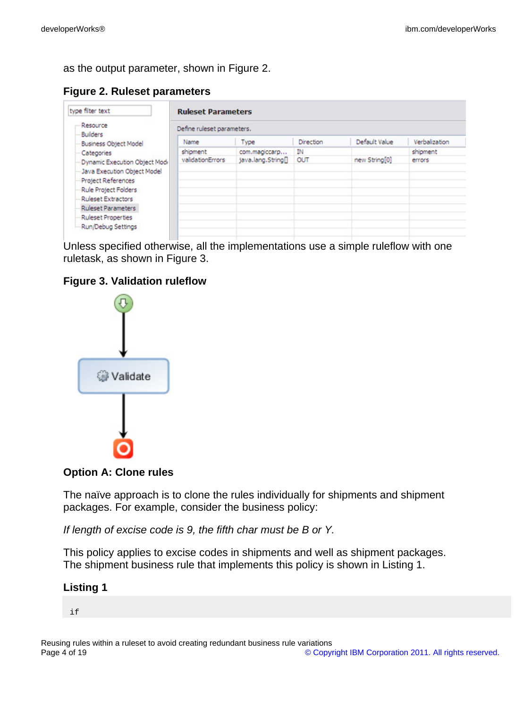as the output parameter, shown in Figure 2.

**Figure 2. Ruleset parameters**

| type filter text                                     | <b>Ruleset Parameters</b>  |                    |           |               |               |  |
|------------------------------------------------------|----------------------------|--------------------|-----------|---------------|---------------|--|
| Resource<br>Builders<br><b>Business Object Model</b> | Define ruleset parameters. |                    |           |               |               |  |
|                                                      | Name                       | Type               | Direction | Default Value | Verbalization |  |
| Categories                                           | shipment                   | com.magiccarp      | ĪΝ        |               | shipment      |  |
| Dynamic Execution Object Modi                        | validationErrors           | java.lang.String[] | OUT       | new String[0] | errors        |  |
| Java Execution Object Model                          |                            |                    |           |               |               |  |
| Project References                                   |                            |                    |           |               |               |  |
| Rule Project Folders                                 |                            |                    |           |               |               |  |
| <b>Ruleset Extractors</b>                            |                            |                    |           |               |               |  |
| <b>Ruleset Parameters</b>                            |                            |                    |           |               |               |  |
| Ruleset Properties                                   |                            |                    |           |               |               |  |
| Run/Debug Settings                                   |                            |                    |           |               |               |  |

Unless specified otherwise, all the implementations use a simple ruleflow with one ruletask, as shown in Figure 3.

#### **Figure 3. Validation ruleflow**



**Option A: Clone rules**

The naïve approach is to clone the rules individually for shipments and shipment packages. For example, consider the business policy:

If length of excise code is 9, the fifth char must be B or Y.

This policy applies to excise codes in shipments and well as shipment packages. The shipment business rule that implements this policy is shown in Listing 1.

#### **Listing 1**

if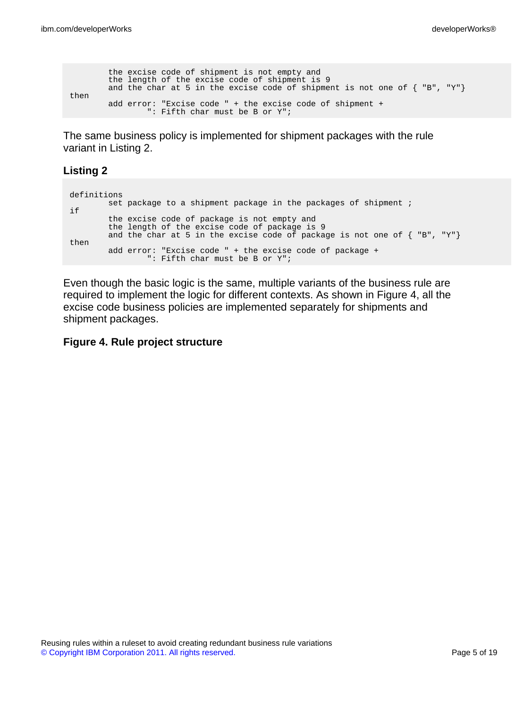```
the excise code of shipment is not empty and
        the length of the excise code of shipment is 9
        and the char at 5 in the excise code of shipment is not one of \{ "B", "Y"\}then
        add error: "Excise code " + the excise code of shipment +
                ": Fifth char must be B or Y";
```
The same business policy is implemented for shipment packages with the rule variant in Listing 2.

#### **Listing 2**

```
definitions
       set package to a shipment package in the packages of shipment ;
if
       the excise code of package is not empty and
        the length of the excise code of package is 9
        and the char at 5 in the excise code of package is not one of \{ "B", "Y"\}then
        add error: "Excise code " + the excise code of package +
                ": Fifth char must be B or Y";
```
Even though the basic logic is the same, multiple variants of the business rule are required to implement the logic for different contexts. As shown in Figure 4, all the excise code business policies are implemented separately for shipments and shipment packages.

#### **Figure 4. Rule project structure**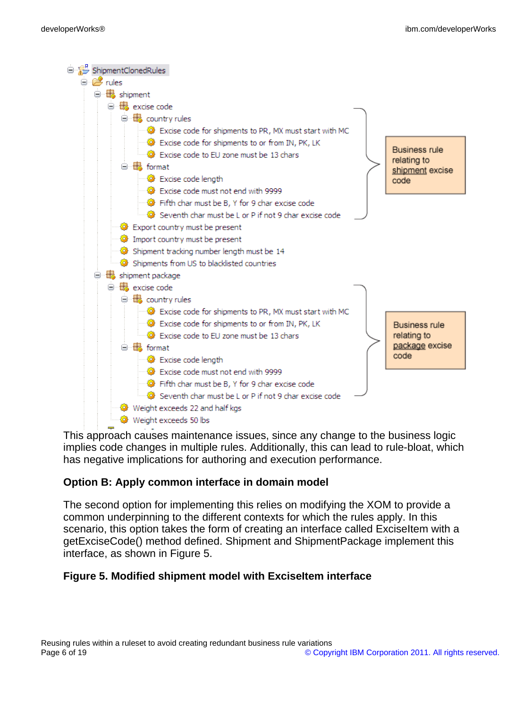

This approach causes maintenance issues, since any change to the business logic implies code changes in multiple rules. Additionally, this can lead to rule-bloat, which has negative implications for authoring and execution performance.

#### **Option B: Apply common interface in domain model**

The second option for implementing this relies on modifying the XOM to provide a common underpinning to the different contexts for which the rules apply. In this scenario, this option takes the form of creating an interface called ExciseItem with a getExciseCode() method defined. Shipment and ShipmentPackage implement this interface, as shown in Figure 5.

#### **Figure 5. Modified shipment model with ExciseItem interface**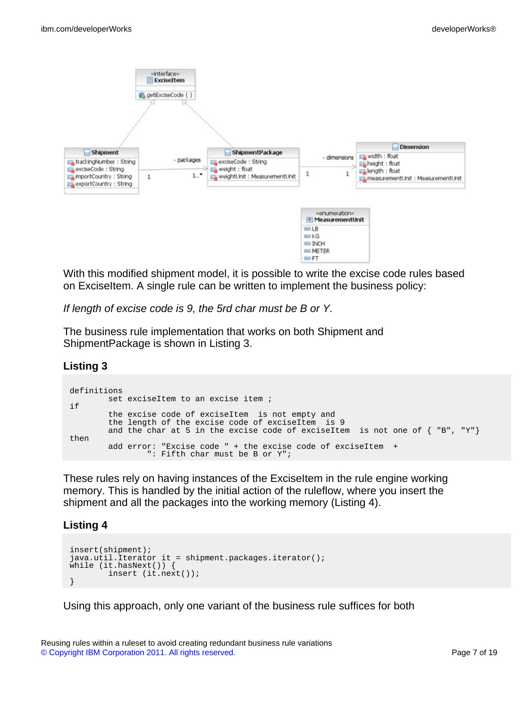

With this modified shipment model, it is possible to write the excise code rules based on ExciseItem. A single rule can be written to implement the business policy:

If length of excise code is 9, the 5rd char must be B or Y.

The business rule implementation that works on both Shipment and ShipmentPackage is shown in Listing 3.

#### **Listing 3**

```
definitions
       set exciseItem to an excise item ;
if
        the excise code of exciseItem is not empty and
        the length of the excise code of exciseItem is 9
        and the char at 5 in the excise code of exciseItem is not one of \{ "B", "Y"\}then
        add error: "Excise code " + the excise code of exciseItem +
                ": Fifth char must be B or Y";
```
These rules rely on having instances of the ExciseItem in the rule engine working memory. This is handled by the initial action of the ruleflow, where you insert the shipment and all the packages into the working memory (Listing 4).

#### **Listing 4**

```
insert(shipment);
java.util.Iterator it = shipment.packages.iterator();
while (it.hasNext()) {
        insert (it.next());
}
```
Using this approach, only one variant of the business rule suffices for both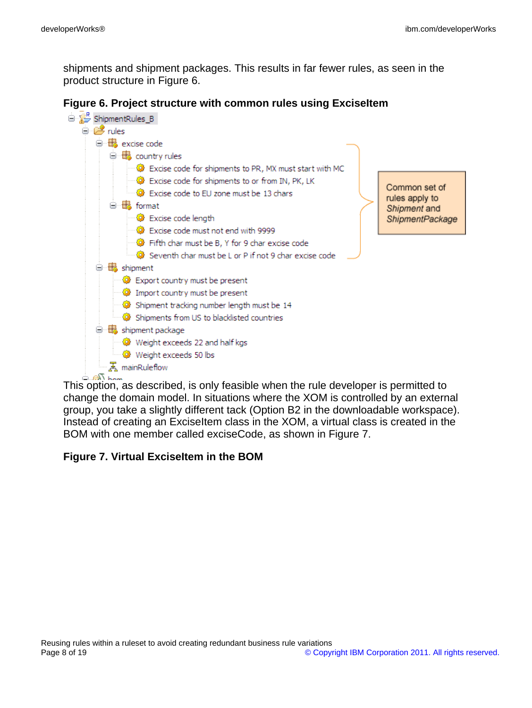shipments and shipment packages. This results in far fewer rules, as seen in the product structure in Figure 6.





This option, as described, is only feasible when the rule developer is permitted to change the domain model. In situations where the XOM is controlled by an external group, you take a slightly different tack (Option B2 in the downloadable workspace). Instead of creating an ExciseItem class in the XOM, a virtual class is created in the BOM with one member called exciseCode, as shown in Figure 7.

#### **Figure 7. Virtual ExciseItem in the BOM**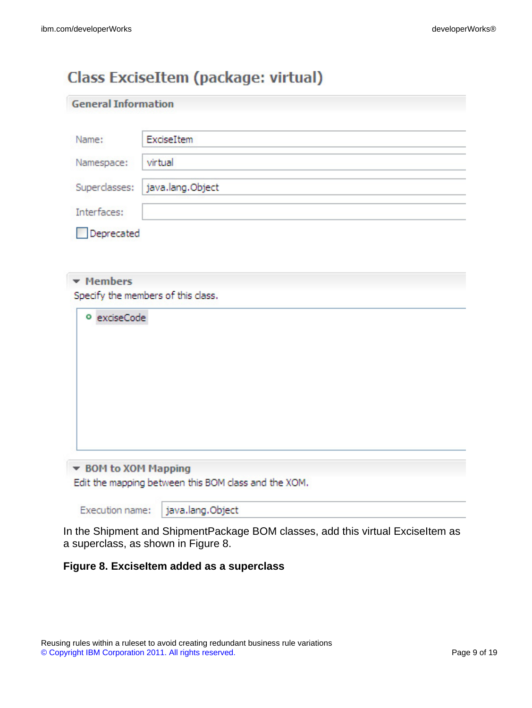## Class ExciseItem (package: virtual)

| <b>General Information</b> |                                    |
|----------------------------|------------------------------------|
| Name:                      | ExciseItem                         |
| Namespace:                 | virtual                            |
| Superclasses:              | java.lang.Object                   |
| Interfaces:                |                                    |
| Deprecated                 |                                    |
| • Members<br>o exciseCode  | Specify the members of this class. |
|                            |                                    |

▼ BOM to XOM Mapping Edit the mapping between this BOM class and the XOM.

Execution name:

java.lang.Object

In the Shipment and ShipmentPackage BOM classes, add this virtual ExciseItem as a superclass, as shown in Figure 8.

#### **Figure 8. ExciseItem added as a superclass**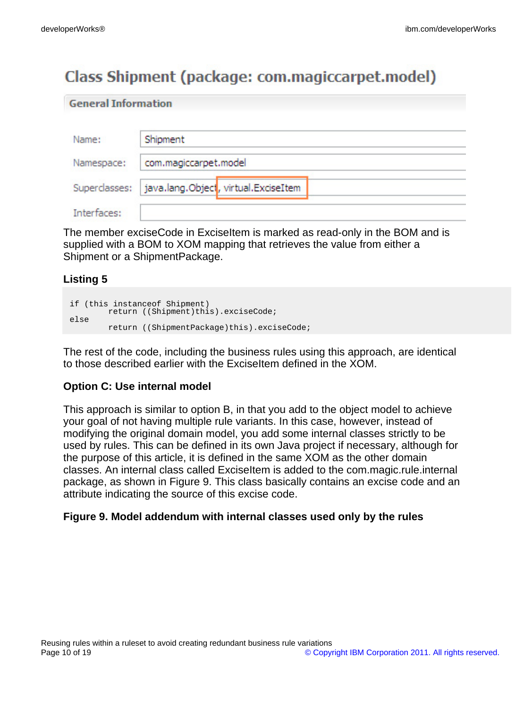**General Information** 

# Class Shipment (package: com.magiccarpet.model)

| Name:         | Shipment                             |
|---------------|--------------------------------------|
| Namespace:    | com.magiccarpet.model                |
| Superclasses: | java.lang.Object, virtual.ExciseItem |
| Interfaces:   |                                      |

The member exciseCode in ExciseItem is marked as read-only in the BOM and is supplied with a BOM to XOM mapping that retrieves the value from either a Shipment or a ShipmentPackage.

#### **Listing 5**

```
if (this instanceof Shipment)
      return ((Shipment)this).exciseCode;
else
       return ((ShipmentPackage)this).exciseCode;
```
The rest of the code, including the business rules using this approach, are identical to those described earlier with the ExciseItem defined in the XOM.

#### **Option C: Use internal model**

This approach is similar to option B, in that you add to the object model to achieve your goal of not having multiple rule variants. In this case, however, instead of modifying the original domain model, you add some internal classes strictly to be used by rules. This can be defined in its own Java project if necessary, although for the purpose of this article, it is defined in the same XOM as the other domain classes. An internal class called ExciseItem is added to the com.magic.rule.internal package, as shown in Figure 9. This class basically contains an excise code and an attribute indicating the source of this excise code.

#### **Figure 9. Model addendum with internal classes used only by the rules**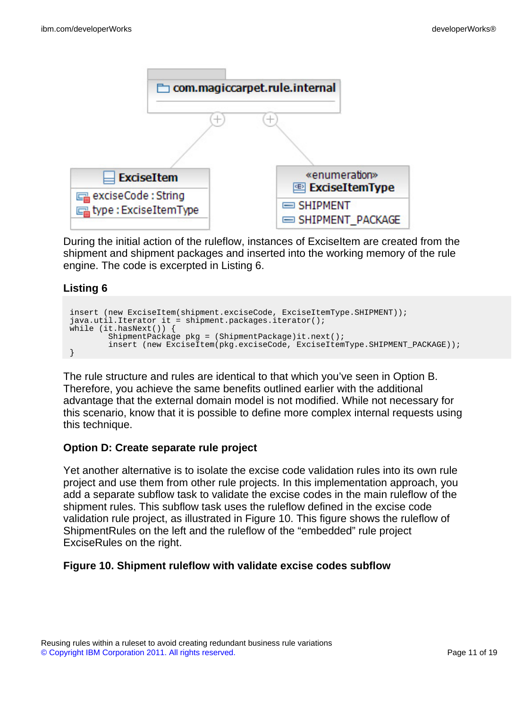

During the initial action of the ruleflow, instances of ExciseItem are created from the shipment and shipment packages and inserted into the working memory of the rule engine. The code is excerpted in Listing 6.

#### **Listing 6**

```
insert (new ExciseItem(shipment.exciseCode, ExciseItemType.SHIPMENT));
java.util.Iterator it = shipment.packages.iterator();
while (it.hasNext()) {
        ShipmentPackage pkg = (ShipmentPackage)it.next();
        insert (new ExciseItem(pkg.exciseCode, ExciseItemType.SHIPMENT_PACKAGE));
}
```
The rule structure and rules are identical to that which you've seen in Option B. Therefore, you achieve the same benefits outlined earlier with the additional advantage that the external domain model is not modified. While not necessary for this scenario, know that it is possible to define more complex internal requests using this technique.

#### **Option D: Create separate rule project**

Yet another alternative is to isolate the excise code validation rules into its own rule project and use them from other rule projects. In this implementation approach, you add a separate subflow task to validate the excise codes in the main ruleflow of the shipment rules. This subflow task uses the ruleflow defined in the excise code validation rule project, as illustrated in Figure 10. This figure shows the ruleflow of ShipmentRules on the left and the ruleflow of the "embedded" rule project ExciseRules on the right.

#### **Figure 10. Shipment ruleflow with validate excise codes subflow**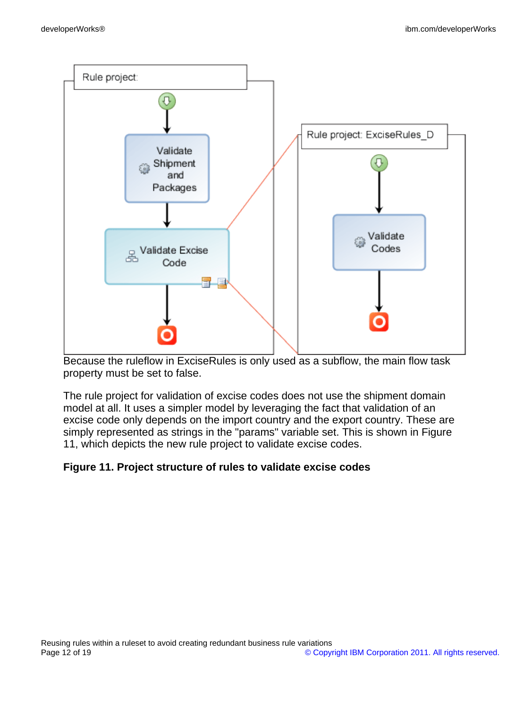

Because the ruleflow in ExciseRules is only used as a subflow, the main flow task property must be set to false.

The rule project for validation of excise codes does not use the shipment domain model at all. It uses a simpler model by leveraging the fact that validation of an excise code only depends on the import country and the export country. These are simply represented as strings in the "params" variable set. This is shown in Figure 11, which depicts the new rule project to validate excise codes.

#### **Figure 11. Project structure of rules to validate excise codes**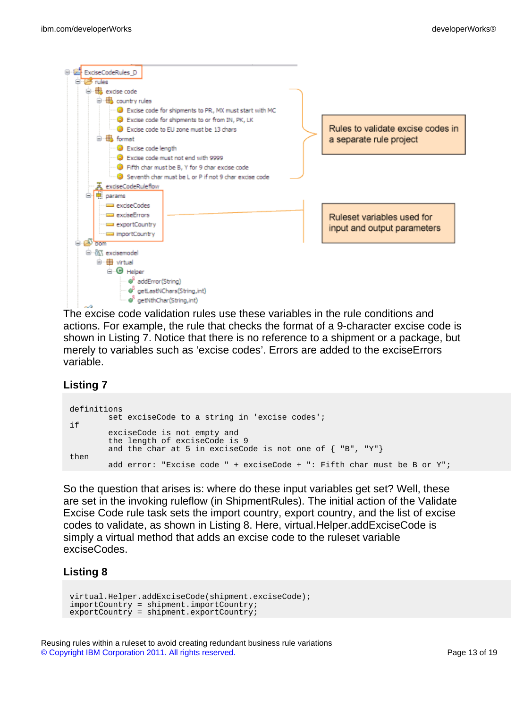

The excise code validation rules use these variables in the rule conditions and actions. For example, the rule that checks the format of a 9-character excise code is shown in Listing 7. Notice that there is no reference to a shipment or a package, but merely to variables such as 'excise codes'. Errors are added to the exciseErrors variable.

#### **Listing 7**

```
definitions
        set exciseCode to a string in 'excise codes';
if
        exciseCode is not empty and
        the length of exciseCode is 9
        and the char at 5 in exciseCode is not one of \{ "B", "Y"\}then
        add error: "Excise code " + exciseCode + ": Fifth char must be B or Y";
```
So the question that arises is: where do these input variables get set? Well, these are set in the invoking ruleflow (in ShipmentRules). The initial action of the Validate Excise Code rule task sets the import country, export country, and the list of excise codes to validate, as shown in Listing 8. Here, virtual.Helper.addExciseCode is simply a virtual method that adds an excise code to the ruleset variable exciseCodes.

#### **Listing 8**

```
virtual.Helper.addExciseCode(shipment.exciseCode);
importCountry = shipment.importCountry;
exportCountry = shipment.exportCountry;
```
Reusing rules within a ruleset to avoid creating redundant business rule variations [© Copyright IBM Corporation 2011. All rights reserved.](http://www.ibm.com/legal/copytrade.shtml) Page 13 of 19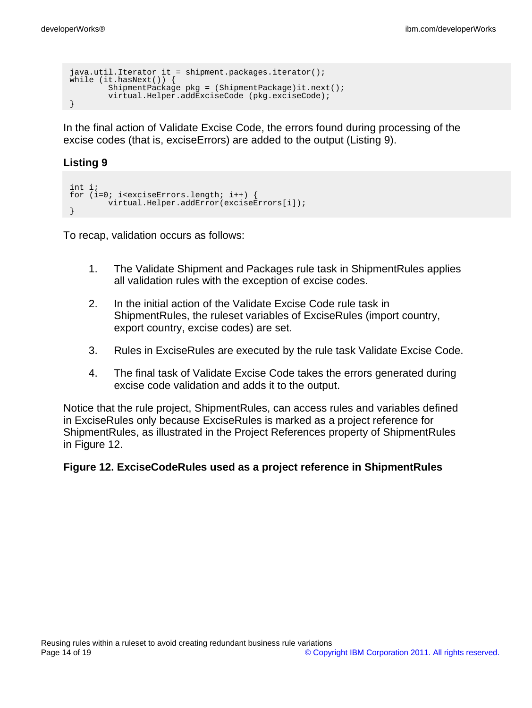```
java.util.Iterator it = shipment.packages.iterator();
while (it.hasNext()) {
       ShipmentPackage pkg = (ShipmentPackage)it.next();
       virtual.Helper.addExciseCode (pkg.exciseCode);
}
```
In the final action of Validate Excise Code, the errors found during processing of the excise codes (that is, exciseErrors) are added to the output (Listing 9).

#### **Listing 9**

```
int i;
for (i=0; i<sub>exciseErrors</sub>.length; i++)virtual.Helper.addError(exciseErrors[i]);
}
```
To recap, validation occurs as follows:

- 1. The Validate Shipment and Packages rule task in ShipmentRules applies all validation rules with the exception of excise codes.
- 2. In the initial action of the Validate Excise Code rule task in ShipmentRules, the ruleset variables of ExciseRules (import country, export country, excise codes) are set.
- 3. Rules in ExciseRules are executed by the rule task Validate Excise Code.
- 4. The final task of Validate Excise Code takes the errors generated during excise code validation and adds it to the output.

Notice that the rule project, ShipmentRules, can access rules and variables defined in ExciseRules only because ExciseRules is marked as a project reference for ShipmentRules, as illustrated in the Project References property of ShipmentRules in Figure 12.

#### **Figure 12. ExciseCodeRules used as a project reference in ShipmentRules**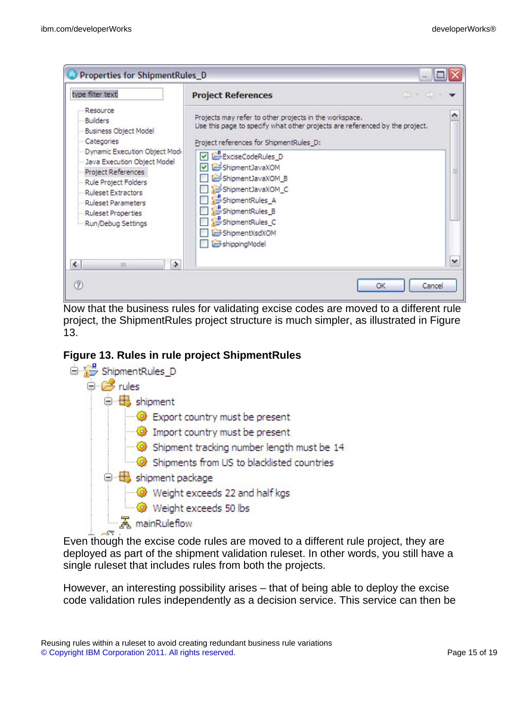

Now that the business rules for validating excise codes are moved to a different rule project, the ShipmentRules project structure is much simpler, as illustrated in Figure 13.

#### **Figure 13. Rules in rule project ShipmentRules**



Even though the excise code rules are moved to a different rule project, they are deployed as part of the shipment validation ruleset. In other words, you still have a single ruleset that includes rules from both the projects.

However, an interesting possibility arises – that of being able to deploy the excise code validation rules independently as a decision service. This service can then be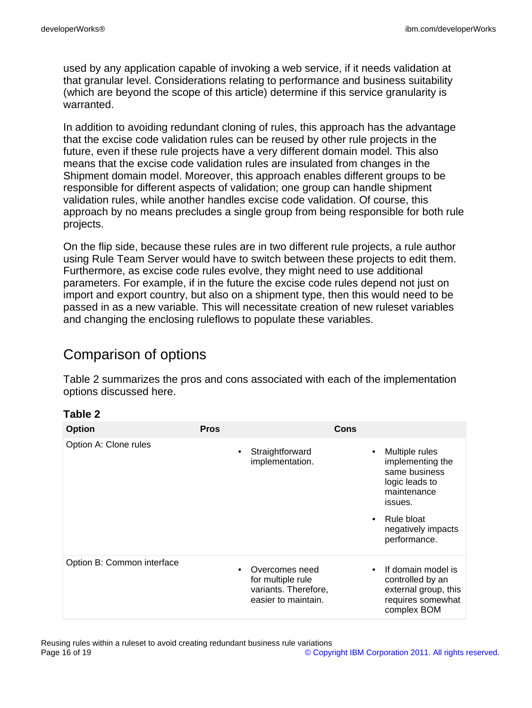used by any application capable of invoking a web service, if it needs validation at that granular level. Considerations relating to performance and business suitability (which are beyond the scope of this article) determine if this service granularity is warranted.

In addition to avoiding redundant cloning of rules, this approach has the advantage that the excise code validation rules can be reused by other rule projects in the future, even if these rule projects have a very different domain model. This also means that the excise code validation rules are insulated from changes in the Shipment domain model. Moreover, this approach enables different groups to be responsible for different aspects of validation; one group can handle shipment validation rules, while another handles excise code validation. Of course, this approach by no means precludes a single group from being responsible for both rule projects.

On the flip side, because these rules are in two different rule projects, a rule author using Rule Team Server would have to switch between these projects to edit them. Furthermore, as excise code rules evolve, they might need to use additional parameters. For example, if in the future the excise code rules depend not just on import and export country, but also on a shipment type, then this would need to be passed in as a new variable. This will necessitate creation of new ruleset variables and changing the enclosing ruleflows to populate these variables.

### Comparison of options

Table 2 summarizes the pros and cons associated with each of the implementation options discussed here.

#### **Table 2**

| <b>Option</b>              | <b>Pros</b> |                                                                                    | Cons                                                                                               |
|----------------------------|-------------|------------------------------------------------------------------------------------|----------------------------------------------------------------------------------------------------|
| Option A: Clone rules      | ٠           | Straightforward<br>implementation.                                                 | Multiple rules<br>implementing the<br>same business<br>logic leads to<br>maintenance<br>issues.    |
|                            |             |                                                                                    | Rule bloat<br>$\bullet$<br>negatively impacts<br>performance.                                      |
| Option B: Common interface |             | Overcomes need<br>for multiple rule<br>variants. Therefore,<br>easier to maintain. | If domain model is<br>controlled by an<br>external group, this<br>requires somewhat<br>complex BOM |

Reusing rules within a ruleset to avoid creating redundant business rule variations<br>Page 16 of 19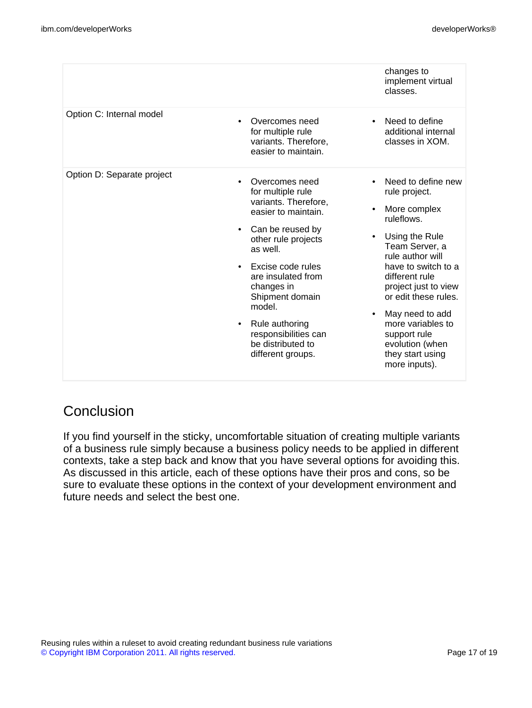|                            |                                                                                                                                                                                                                                                                                                                                       | changes to<br>implement virtual<br>classes.                                                                                                                                                                                                                                                                                                                  |
|----------------------------|---------------------------------------------------------------------------------------------------------------------------------------------------------------------------------------------------------------------------------------------------------------------------------------------------------------------------------------|--------------------------------------------------------------------------------------------------------------------------------------------------------------------------------------------------------------------------------------------------------------------------------------------------------------------------------------------------------------|
| Option C: Internal model   | Overcomes need<br>for multiple rule<br>variants. Therefore,<br>easier to maintain.                                                                                                                                                                                                                                                    | Need to define<br>$\bullet$<br>additional internal<br>classes in XOM.                                                                                                                                                                                                                                                                                        |
| Option D: Separate project | Overcomes need<br>for multiple rule<br>variants. Therefore,<br>easier to maintain.<br>Can be reused by<br>other rule projects<br>as well.<br>Excise code rules<br>$\bullet$<br>are insulated from<br>changes in<br>Shipment domain<br>model.<br>Rule authoring<br>٠<br>responsibilities can<br>be distributed to<br>different groups. | Need to define new<br>rule project.<br>More complex<br>ruleflows.<br>Using the Rule<br>$\bullet$<br>Team Server, a<br>rule author will<br>have to switch to a<br>different rule<br>project just to view<br>or edit these rules.<br>May need to add<br>$\bullet$<br>more variables to<br>support rule<br>evolution (when<br>they start using<br>more inputs). |

### **Conclusion**

If you find yourself in the sticky, uncomfortable situation of creating multiple variants of a business rule simply because a business policy needs to be applied in different contexts, take a step back and know that you have several options for avoiding this. As discussed in this article, each of these options have their pros and cons, so be sure to evaluate these options in the context of your development environment and future needs and select the best one.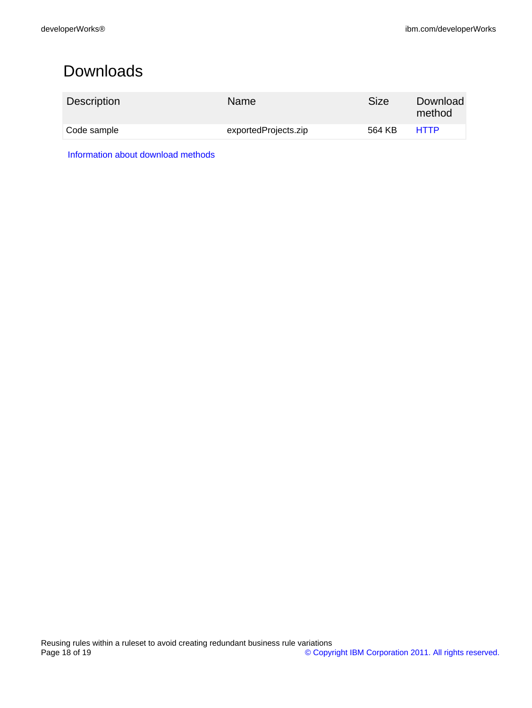# <span id="page-17-0"></span>Downloads

| <b>Description</b> | <b>Name</b>          | Size   | Download<br>method |
|--------------------|----------------------|--------|--------------------|
| Code sample        | exportedProjects.zip | 564 KB | <b>HTTP</b>        |

[Information about download methods](http://www.ibm.com/developerworks/library/whichmethod.html)